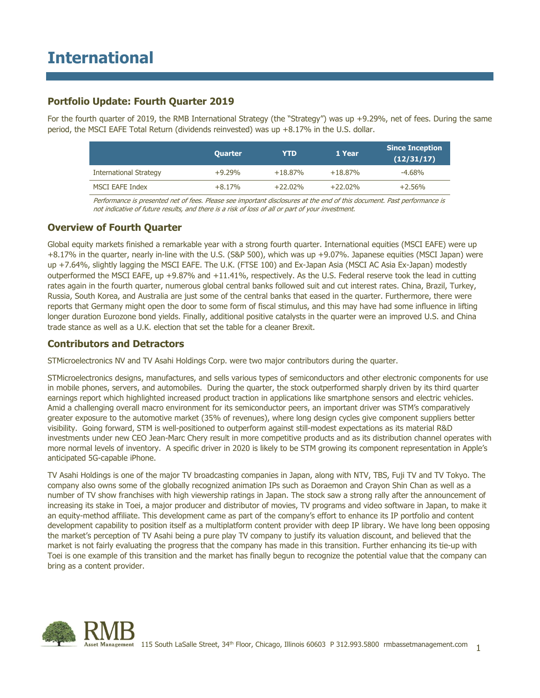## **Portfolio Update: Fourth Quarter 2019**

For the fourth quarter of 2019, the RMB International Strategy (the "Strategy") was up +9.29%, net of fees. During the same period, the MSCI EAFE Total Return (dividends reinvested) was up +8.17% in the U.S. dollar.

|                               | <b>Quarter</b> | YTD        | 1 Year     | <b>Since Inception</b><br>(12/31/17) |
|-------------------------------|----------------|------------|------------|--------------------------------------|
| <b>International Strategy</b> | $+9.29\%$      | $+18.87\%$ | $+18.87\%$ | $-4.68\%$                            |
| <b>MSCI EAFE Index</b>        | $+8.17%$       | $+22.02%$  | $+22.02%$  | $+2.56\%$                            |

Performance is presented net of fees. Please see important disclosures at the end of this document. Past performance is not indicative of future results, and there is a risk of loss of all or part of your investment.

### **Overview of Fourth Quarter**

Global equity markets finished a remarkable year with a strong fourth quarter. International equities (MSCI EAFE) were up +8.17% in the quarter, nearly in-line with the U.S. (S&P 500), which was up +9.07%. Japanese equities (MSCI Japan) were up +7.64%, slightly lagging the MSCI EAFE. The U.K. (FTSE 100) and Ex-Japan Asia (MSCI AC Asia Ex-Japan) modestly outperformed the MSCI EAFE, up +9.87% and +11.41%, respectively. As the U.S. Federal reserve took the lead in cutting rates again in the fourth quarter, numerous global central banks followed suit and cut interest rates. China, Brazil, Turkey, Russia, South Korea, and Australia are just some of the central banks that eased in the quarter. Furthermore, there were reports that Germany might open the door to some form of fiscal stimulus, and this may have had some influence in lifting longer duration Eurozone bond yields. Finally, additional positive catalysts in the quarter were an improved U.S. and China trade stance as well as a U.K. election that set the table for a cleaner Brexit.

### **Contributors and Detractors**

STMicroelectronics NV and TV Asahi Holdings Corp. were two major contributors during the quarter.

STMicroelectronics designs, manufactures, and sells various types of semiconductors and other electronic components for use in mobile phones, servers, and automobiles. During the quarter, the stock outperformed sharply driven by its third quarter earnings report which highlighted increased product traction in applications like smartphone sensors and electric vehicles. Amid a challenging overall macro environment for its semiconductor peers, an important driver was STM's comparatively greater exposure to the automotive market (35% of revenues), where long design cycles give component suppliers better visibility. Going forward, STM is well-positioned to outperform against still-modest expectations as its material R&D investments under new CEO Jean-Marc Chery result in more competitive products and as its distribution channel operates with more normal levels of inventory. A specific driver in 2020 is likely to be STM growing its component representation in Apple's anticipated 5G-capable iPhone.

TV Asahi Holdings is one of the major TV broadcasting companies in Japan, along with NTV, TBS, Fuji TV and TV Tokyo. The company also owns some of the globally recognized animation IPs such as Doraemon and Crayon Shin Chan as well as a number of TV show franchises with high viewership ratings in Japan. The stock saw a strong rally after the announcement of increasing its stake in Toei, a major producer and distributor of movies, TV programs and video software in Japan, to make it an equity-method affiliate. This development came as part of the company's effort to enhance its IP portfolio and content development capability to position itself as a multiplatform content provider with deep IP library. We have long been opposing the market's perception of TV Asahi being a pure play TV company to justify its valuation discount, and believed that the market is not fairly evaluating the progress that the company has made in this transition. Further enhancing its tie-up with Toei is one example of this transition and the market has finally begun to recognize the potential value that the company can bring as a content provider.

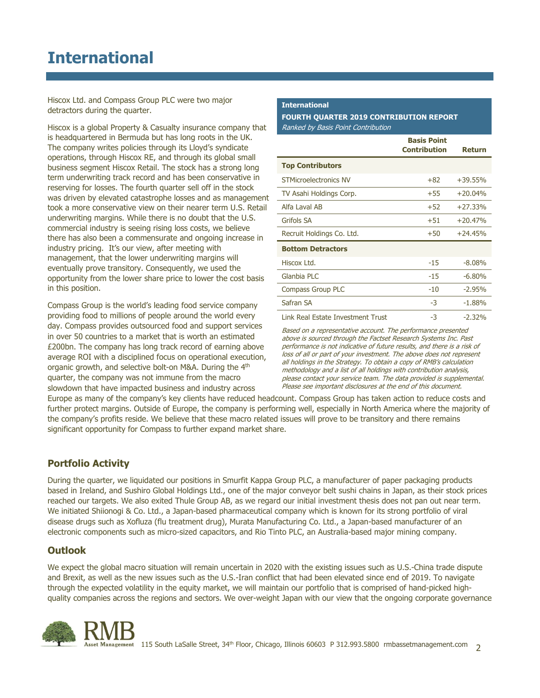# **International**

Hiscox Ltd. and Compass Group PLC were two major detractors during the quarter.

Hiscox is a global Property & Casualty insurance company that is headquartered in Bermuda but has long roots in the UK. The company writes policies through its Lloyd's syndicate operations, through Hiscox RE, and through its global small business segment Hiscox Retail. The stock has a strong long term underwriting track record and has been conservative in reserving for losses. The fourth quarter sell off in the stock was driven by elevated catastrophe losses and as management took a more conservative view on their nearer term U.S. Retail underwriting margins. While there is no doubt that the U.S. commercial industry is seeing rising loss costs, we believe there has also been a commensurate and ongoing increase in industry pricing. It's our view, after meeting with management, that the lower underwriting margins will eventually prove transitory. Consequently, we used the opportunity from the lower share price to lower the cost basis in this position.

Compass Group is the world's leading food service company providing food to millions of people around the world every day. Compass provides outsourced food and support services in over 50 countries to a market that is worth an estimated £200bn. The company has long track record of earning above average ROI with a disciplined focus on operational execution, organic growth, and selective bolt-on M&A. During the 4<sup>th</sup> quarter, the company was not immune from the macro slowdown that have impacted business and industry across

#### **International**

#### **FOURTH QUARTER 2019 CONTRIBUTION REPORT** Ranked by Basis Point Contribution

|                                   | <b>Basis Point</b>  |               |
|-----------------------------------|---------------------|---------------|
|                                   | <b>Contribution</b> | <b>Return</b> |
| <b>Top Contributors</b>           |                     |               |
| <b>STMicroelectronics NV</b>      | $+82$               | $+39.55%$     |
| TV Asahi Holdings Corp.           | $+55$               | $+20.04%$     |
| Alfa Laval AB                     | $+52$               | $+27.33%$     |
| Grifols SA                        | $+51$               | $+20.47%$     |
| Recruit Holdings Co. Ltd.         | $+50$               | $+24.45%$     |
| <b>Bottom Detractors</b>          |                     |               |
| Hiscox Ltd.                       | $-15$               | $-8.08%$      |
| Glanbia PLC                       | $-15$               | $-6.80%$      |
| <b>Compass Group PLC</b>          | $-10$               | $-2.95%$      |
| Safran SA                         | $-3$                | $-1.88%$      |
| Link Real Estate Investment Trust | -3                  | $-2.32%$      |

Based on a representative account. The performance presented above is sourced through the Factset Research Systems Inc. Past performance is not indicative of future results, and there is a risk of loss of all or part of your investment. The above does not represent all holdings in the Strategy. To obtain a copy of RMB's calculation methodology and a list of all holdings with contribution analysis, please contact your service team. The data provided is supplemental. Please see important disclosures at the end of this document.

Europe as many of the company's key clients have reduced headcount. Compass Group has taken action to reduce costs and further protect margins. Outside of Europe, the company is performing well, especially in North America where the majority of the company's profits reside. We believe that these macro related issues will prove to be transitory and there remains significant opportunity for Compass to further expand market share.

## **Portfolio Activity**

During the quarter, we liquidated our positions in Smurfit Kappa Group PLC, a manufacturer of paper packaging products based in Ireland, and Sushiro Global Holdings Ltd., one of the major conveyor belt sushi chains in Japan, as their stock prices reached our targets. We also exited Thule Group AB, as we regard our initial investment thesis does not pan out near term. We initiated Shiionogi & Co. Ltd., a Japan-based pharmaceutical company which is known for its strong portfolio of viral disease drugs such as Xofluza (flu treatment drug), Murata Manufacturing Co. Ltd., a Japan-based manufacturer of an electronic components such as micro-sized capacitors, and Rio Tinto PLC, an Australia-based major mining company.

### **Outlook**

We expect the global macro situation will remain uncertain in 2020 with the existing issues such as U.S.-China trade dispute and Brexit, as well as the new issues such as the U.S.-Iran conflict that had been elevated since end of 2019. To navigate through the expected volatility in the equity market, we will maintain our portfolio that is comprised of hand-picked highquality companies across the regions and sectors. We over-weight Japan with our view that the ongoing corporate governance

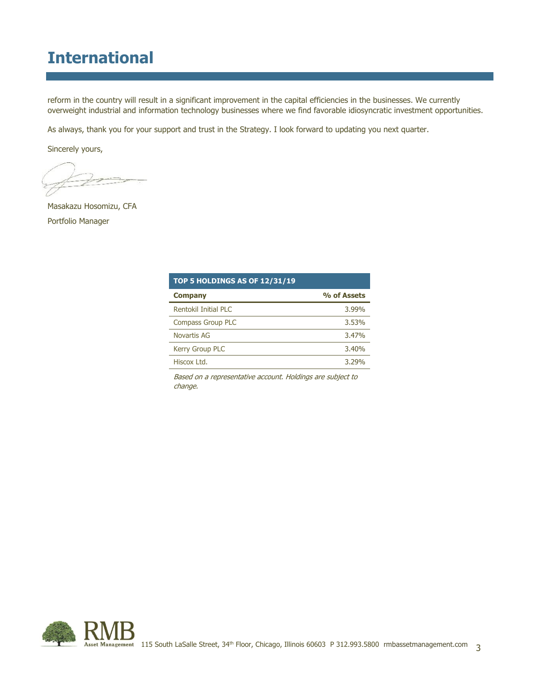# **International**

reform in the country will result in a significant improvement in the capital efficiencies in the businesses. We currently overweight industrial and information technology businesses where we find favorable idiosyncratic investment opportunities.

As always, thank you for your support and trust in the Strategy. I look forward to updating you next quarter.

Sincerely yours,

Masakazu Hosomizu, CFA Portfolio Manager

| <b>TOP 5 HOLDINGS AS OF 12/31/19</b> |             |  |  |  |  |
|--------------------------------------|-------------|--|--|--|--|
| <b>Company</b>                       | % of Assets |  |  |  |  |
| Rentokil Initial PLC                 | 3.99%       |  |  |  |  |
| Compass Group PLC                    | $3.53\%$    |  |  |  |  |
| Novartis AG                          | 3.47%       |  |  |  |  |
| Kerry Group PLC                      | 3.40%       |  |  |  |  |
| Hiscox Ltd.                          | 3.29%       |  |  |  |  |

Based on a representative account. Holdings are subject to change.

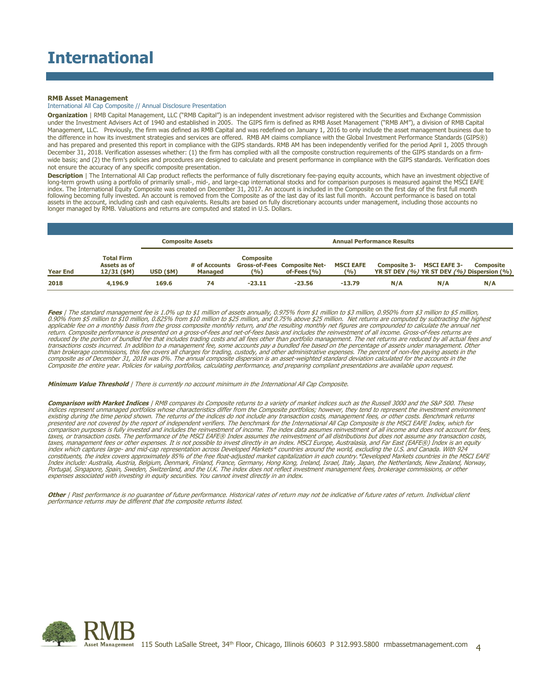#### **RMB Asset Management**

#### International All Cap Composite // Annual Disclosure Presentation

**Organization** | RMB Capital Management, LLC ("RMB Capital") is an independent investment advisor registered with the Securities and Exchange Commission under the Investment Advisers Act of 1940 and established in 2005. The GIPS firm is defined as RMB Asset Management ("RMB AM"), a division of RMB Capital Management, LLC. Previously, the firm was defined as RMB Capital and was redefined on January 1, 2016 to only include the asset management business due to the difference in how its investment strategies and services are offered. RMB AM claims compliance with the Global Investment Performance Standards (GIPS®) and has prepared and presented this report in compliance with the GIPS standards. RMB AM has been independently verified for the period April 1, 2005 through December 31, 2018. Verification assesses whether: (1) the firm has complied with all the composite construction requirements of the GIPS standards on a firmwide basis; and (2) the firm's policies and procedures are designed to calculate and present performance in compliance with the GIPS standards. Verification does not ensure the accuracy of any specific composite presentation.

**Description** | The International All Cap product reflects the performance of fully discretionary fee-paying equity accounts, which have an investment objective of<br>long-term growth using a portfolio of primarily small-, mi following becoming fully invested. An account is removed from the Composite as of the last day of its last full month. Account performance is based on total assets in the account, including cash and cash equivalents. Results are based on fully discretionary accounts under management, including those accounts no longer managed by RMB. Valuations and returns are computed and stated in U.S. Dollars.

|                 |                                                    | <b>Composite Assets</b> |                                 |                         |                                                       | <b>Annual Performance Results</b> |     |                                  |                                                                |
|-----------------|----------------------------------------------------|-------------------------|---------------------------------|-------------------------|-------------------------------------------------------|-----------------------------------|-----|----------------------------------|----------------------------------------------------------------|
| <b>Year End</b> | <b>Total Firm</b><br>Assets as of<br>$12/31$ (\$M) | $USD$ (\$M)             | # of Accounts<br><b>Managed</b> | <b>Composite</b><br>(%) | <b>Gross-of-Fees Composite Net-</b><br>of-Fees $(% )$ | <b>MSCI EAFE</b><br>(%)           |     | <b>Composite 3- MSCI EAFE 3-</b> | <b>Composite</b><br>YR ST DEV (%) YR ST DEV (%) Dispersion (%) |
| 2018            | 4,196.9                                            | 169.6                   | 74                              | $-23.11$                | $-23.56$                                              | $-13.79$                          | N/A | N/A                              | N/A                                                            |

**Fees** | The standard management fee is 1.0% up to \$1 million of assets annually, 0.975% from \$1 million to \$3 million, 0.950% from \$3 million to \$5 million,<br>0.90% from \$5 million to \$10 million, 0.825% from \$10 million to applicable fee on a monthly basis from the gross composite monthly return, and the resulting monthly net figures are compounded to calculate the annual net return. Composite performance is presented on a gross-of-fees and net-of-fees basis and includes the reinvestment of all income. Gross-of-fees returns are reduced by the portion of bundled fee that includes trading costs and all fees other than portfolio management. The net returns are reduced by all actual fees and transactions costs incurred. In addition to a management fee, some accounts pay a bundled fee based on the percentage of assets under management. Other<br>than brokerage commissions, this fee covers all charges for trading, c Composite the entire year. Policies for valuing portfolios, calculating performance, and preparing compliant presentations are available upon request.

**Minimum Value Threshold** | There is currently no account minimum in the International All Cap Composite.

**Comparison with Market Indices** | RMB compares its Composite returns to a variety of market indices such as the Russell 3000 and the S&P 500. These<br>indices represent unmanaged portfolios whose characteristics differ from presented are not covered by the report of independent verifiers. The benchmark for the International All Cap Composite is the MSCI EAFE Index, which for comparison purposes is fully invested and includes the reinvestment of income. The index data assumes reinvestment of all income and does not account for fees, taxes, or transaction costs. The performance of the MSCI EAFE® Index assumes the reinvestment of all distributions but does not assume any transaction costs,<br>taxes, management fees or other expenses. It is not possible to constituents, the index covers approximately 85% of the free float-adjusted market capitalization in each country.\*Developed Markets countries in the MSCI EAFE Index include: Australia, Austria, Belgium, Denmark, Finland, France, Germany, Hong Kong, Ireland, Israel, Italy, Japan, the Netherlands, New Zealand, Norway, Portugal, Singapore, Spain, Sweden, Switzerland, and the U.K. The index does not reflect investment management fees, brokerage commissions, or other expenses associated with investing in equity securities. You cannot invest directly in an index.

**Other** | Past performance is no guarantee of future performance. Historical rates of return may not be indicative of future rates of return. Individual client performance returns may be different that the composite returns listed.